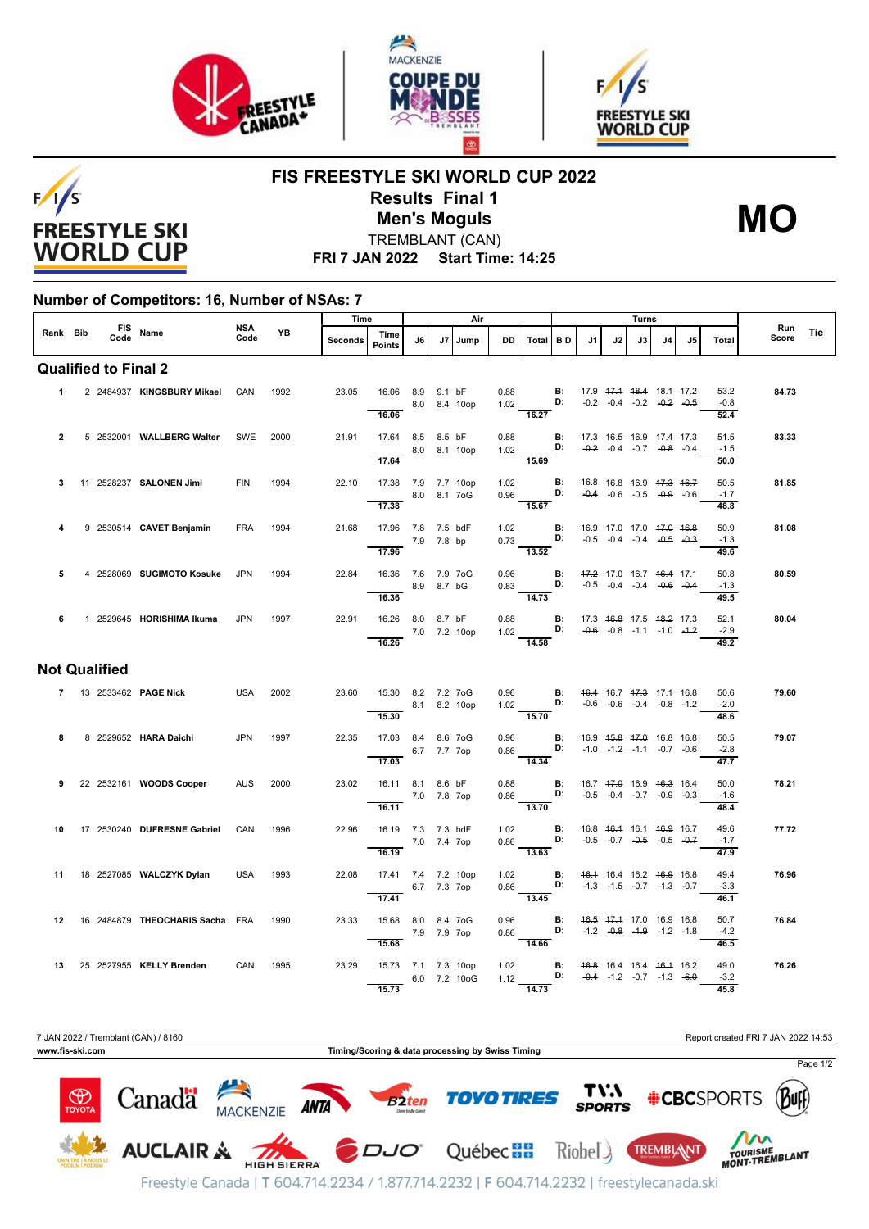





**FIS FREESTYLE SKI WORLD CUP 2022 Results Final 1**



TREMBLANT (CAN) **Men's Moguls MO**

**FRI 7 JAN 2022 Start Time: 14:25**

## **Number of Competitors: 16, Number of NSAs: 7**

|                             |  |                      | Rank Bib FIS Name                  |             | <b>YB</b> | Time    |                                            | Air         |        |              |      |                                                                                                                                          | Turns |    |    |      |    |    |                                    |              |     |
|-----------------------------|--|----------------------|------------------------------------|-------------|-----------|---------|--------------------------------------------|-------------|--------|--------------|------|------------------------------------------------------------------------------------------------------------------------------------------|-------|----|----|------|----|----|------------------------------------|--------------|-----|
|                             |  |                      |                                    | NSA<br>Code |           | Seconds | Time<br><b>Points</b>                      | J6          |        | J7 Jump      | DD I | Total BD                                                                                                                                 |       | J1 | J2 | J3 I | J4 | J5 | Total                              | Run<br>Score | Tie |
| <b>Qualified to Final 2</b> |  |                      |                                    |             |           |         |                                            |             |        |              |      |                                                                                                                                          |       |    |    |      |    |    |                                    |              |     |
| $\mathbf{1}$                |  |                      | 2 2484937 KINGSBURY Mikael         | CAN         | 1992      | 23.05   | 16.06 8.9<br>16.06                         |             | 9.1 bF | 8.0 8.4 10op |      | 0.88<br><b>B:</b> 17.9 <del>17.1 18.4</del> 18.1 17.2<br>1.02<br><b>D:</b> -0.2 -0.4 -0.2 -0. <del>2</del> -0.5<br>16.27                 |       |    |    |      |    |    | 53.2<br>$-0.8$<br>52.4             | 84.73        |     |
| $\overline{2}$              |  |                      | 5 2532001 WALLBERG Walter          | SWE         | 2000      | 21.91   | 17.64 8.5 8.5 bF<br>8.0 8.1 10op           |             |        |              |      | 0.88 <b>B</b> : 17.3 4 <del>6.5</del> 16.9 47.4 17.3<br>1.02 <b>D:</b> -0.2 -0.4 -0.7 -0.8 -0.4                                          |       |    |    |      |    |    | 51.5<br>$-1.5$                     | 83.33        |     |
| 3                           |  |                      | 11 2528237 SALONEN Jimi            | <b>FIN</b>  | 1994      | 22.10   | 17.64<br>17.38 7.9 7.7 10op                |             |        |              |      | $\overline{15.69}$<br>1.02 <b>B</b> : 16.8 16.8 16.9 <del>17.3 16.7</del><br>0.96 <b>D:</b> -0.4 -0.6 -0.5 -0.9 -0.6                     |       |    |    |      |    |    | 50.0<br>50.5                       | 81.85        |     |
|                             |  |                      |                                    |             |           |         | 17.38                                      |             |        | 8.0 8.1 7oG  |      | 15.67                                                                                                                                    |       |    |    |      |    |    | $-1.7$<br>48.8                     |              |     |
|                             |  |                      | 9 2530514 CAVET Benjamin           | <b>FRA</b>  | 1994      | 21.68   | 17.96 7.8 7.5 bdF<br>7.9 7.8 bp<br>17.96   |             |        |              |      | 1.02 <b>B</b> : 16.9 17.0 17.0 <del>17.0 16.8</del><br>0.73 <b>D:</b> -0.5 -0.4 -0.4 -0. <del>4</del> -0.5<br>$\overline{13.52}$         |       |    |    |      |    |    | 50.9<br>$-1.3$<br>49.6             | 81.08        |     |
| 5                           |  |                      | 4 2528069 SUGIMOTO Kosuke          | <b>JPN</b>  | 1994      | 22.84   | 16.36 7.6 7.9 7oG<br>8.9 8.7 bG            |             |        |              |      | 0.96 <b>B:</b> 47.2 17.0 16.7 46.4 17.1 0.83 <b>D:</b> -0.5 -0.4 -0.4 -0. <del>6</del> -0.4                                              |       |    |    |      |    |    | 50.8<br>$-1.3$                     | 80.59        |     |
|                             |  |                      |                                    |             |           |         | 16.36                                      |             |        |              |      | 14.73                                                                                                                                    |       |    |    |      |    |    | 49.5                               |              |     |
| 6                           |  |                      | 1 2529645 HORISHIMA Ikuma          | <b>JPN</b>  | 1997      | 22.91   | 16.26 8.0 8.7 bF<br>7.0 7.2 10op<br>16.26  |             |        |              |      | 0.88 <b>B</b> : 17.3 46.8 17.5 48.2 17.3<br>1.02 <b>D:</b> -0.6 -0.8 -1.1 -1.0 -1.2<br>$\frac{1}{14.58}$                                 |       |    |    |      |    |    | 52.1<br>$-2.9$<br>49.2             | 80.04        |     |
|                             |  | <b>Not Qualified</b> |                                    |             |           |         |                                            |             |        |              |      |                                                                                                                                          |       |    |    |      |    |    |                                    |              |     |
|                             |  |                      | 7 13 2533462 PAGE Nick             | <b>USA</b>  | 2002      | 23.60   | 15.30 8.2 7.2 7oG<br>8.1 8.2 10op<br>15.30 |             |        |              |      | 0.96 <b>B:</b> 46.4 16.7 <del>17.3</del> 17.1 16.8<br>1.02 <b>D:</b> -0.6 -0.6 -0.4 -0.8 -1.2<br>$\frac{1}{15.70}$                       |       |    |    |      |    |    | 50.6<br>$-2.0$<br>48.6             | 79.60        |     |
| 8                           |  |                      | 8 2529652 HARA Daichi              | JPN         | 1997      | 22.35   | 17.03 8.4 8.6 7oG<br>17.03                 | 6.7 7.7 7op |        |              |      | 0.96 <b>B</b> : $16.9 \tcdot 15.8 \tcdot 17.0 \tcdot 16.8 \tcdot 16.8$<br>0.86 <b>D:</b> -1.0 -1.2 -1.1 -0.7 -0.6<br>$\frac{111}{14.34}$ |       |    |    |      |    |    | 50.5<br>$-2.8$<br>$\frac{47.7}{ }$ | 79.07        |     |
|                             |  |                      | 9 22 2532161 WOODS Cooper          | <b>AUS</b>  | 2000      | 23.02   | 16.11 8.1 8.6 bF<br>7.0 7.8 7op<br>16.11   |             |        |              |      | 0.88 <b>B:</b> 16.7 47.0 16.9 46.3 16.4<br>$\overline{13.70}$                                                                            |       |    |    |      |    |    | 50.0<br>$-1.6$                     | 78.21        |     |
|                             |  |                      | 10 17 2530240 DUFRESNE Gabriel     | CAN         | 1996      | 22.96   | 16.19 7.3 7.3 bdF<br>7.0 7.4 7op           |             |        |              |      | 1.02 <b>B</b> : 16.8 46.4 16.1 46.9 16.7<br>0.86 <b>D:</b> -0.5 -0.7 -0.5 -0.5 -0.7                                                      |       |    |    |      |    |    | 48.4<br>49.6<br>$-1.7$             | 77.72        |     |
|                             |  |                      | 11 18 2527085 WALCZYK Dylan        | USA         | 1993      | 22.08   | 16.19<br>17.41 7.4 7.2 10op                |             |        |              |      | 13.63                                                                                                                                    |       |    |    |      |    |    | 47.9<br>49.4                       | 76.96        |     |
|                             |  |                      |                                    |             |           |         | 6.7 7.3 7ор<br>17.41                       |             |        |              |      | 1.02 <b>B:</b> 46.4 16.4 16.2 46.9 16.8<br>0.86 <b>D:</b> -1.3 -4.5 -0.7 -1.3 -0.7                                                       |       |    |    |      |    |    | $-3.3$<br>46.1                     |              |     |
|                             |  |                      | 12 16 2484879 THEOCHARIS Sacha FRA |             | 1990      | 23.33   | 15.68 8.0 8.4 7oG<br>15.68                 | 7.9 7.9 7op |        |              |      | 0.96 <b>B:</b> 46.5 47.4 17.0 16.9 16.8<br>0.86 <b>D:</b> -1.2 -0.8 -1.9 -1.2 -1.8                                                       |       |    |    |      |    |    | 50.7<br>$-4.2$<br>46.5             | 76.84        |     |
|                             |  |                      | 13 25 2527955 KELLY Brenden CAN    |             | 1995      | 23.29   | 15.73 7.1 7.3 10op<br>15.73                |             |        | 6.0 7.2 10oG |      | 1.02 <b>B</b> : 46.8 16.4 16.4 46.4 16.2<br>1.12 <b>D:</b> -0.4 -1.2 -0.7 -1.3 -6.0<br>14.73                                             |       |    |    |      |    |    | 49.0<br>$-3.2$<br>45.8             | 76.26        |     |